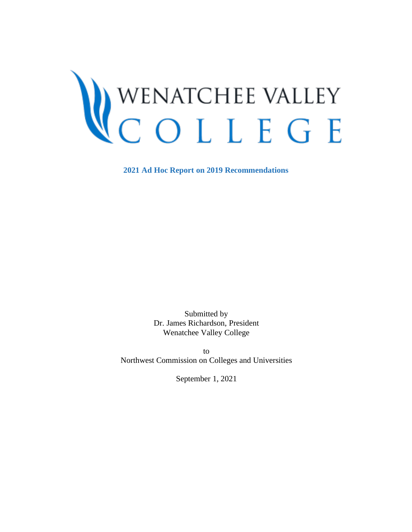# <span id="page-0-0"></span>WENATCHEE VALLEY<br>COLLEGE

**2021 Ad Hoc Report on 2019 Recommendations** 

Submitted by Dr. James Richardson, President Wenatchee Valley College

to Northwest Commission on Colleges and Universities

September 1, 2021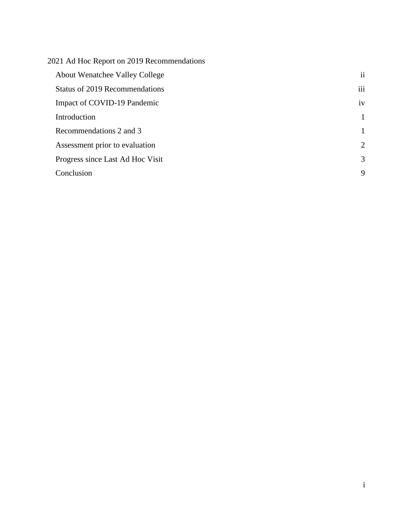| 2021 Ad Hoc Report on 2019 Recommendations |                |
|--------------------------------------------|----------------|
| <b>About Wenatchee Valley College</b>      | $\mathbf{ii}$  |
| <b>Status of 2019 Recommendations</b>      | iii            |
| Impact of COVID-19 Pandemic                | iv             |
| Introduction                               | 1              |
| Recommendations 2 and 3                    | 1              |
| Assessment prior to evaluation             | $\overline{2}$ |
| Progress since Last Ad Hoc Visit           | 3              |
| Conclusion                                 | 9              |
|                                            |                |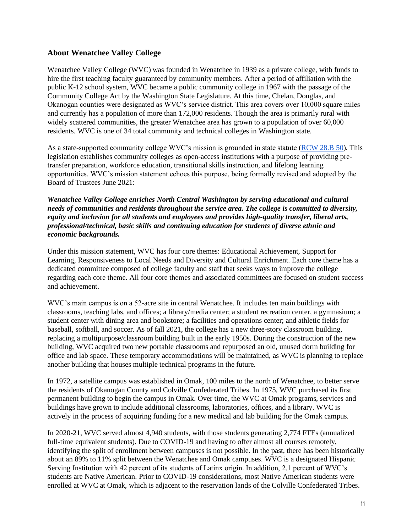#### <span id="page-2-0"></span>**About Wenatchee Valley College**

Wenatchee Valley College (WVC) was founded in Wenatchee in 1939 as a private college, with funds to hire the first teaching faculty guaranteed by community members. After a period of affiliation with the public K-12 school system, WVC became a public community college in 1967 with the passage of the Community College Act by the Washington State Legislature. At this time, Chelan, Douglas, and Okanogan counties were designated as WVC's service district. This area covers over 10,000 square miles and currently has a population of more than 172,000 residents. Though the area is primarily rural with widely scattered communities, the greater Wenatchee area has grown to a population of over 60,000 residents. WVC is one of 34 total community and technical colleges in Washington state.

As a state-supported community college WVC's mission is grounded in state statute [\(RCW 28.B 50\)](https://app.leg.wa.gov/RCW/default.aspx?cite=28B.50). This legislation establishes community colleges as open-access institutions with a purpose of providing pretransfer preparation, workforce education, transitional skills instruction, and lifelong learning opportunities. WVC's mission statement echoes this purpose, being formally revised and adopted by the Board of Trustees June 2021:

*Wenatchee Valley College enriches North Central Washington by serving educational and cultural needs of communities and residents throughout the service area. The college is committed to diversity, equity and inclusion for all students and employees and provides high-quality transfer, liberal arts, professional/technical, basic skills and continuing education for students of diverse ethnic and economic backgrounds.*

Under this mission statement, WVC has four core themes: Educational Achievement, Support for Learning, Responsiveness to Local Needs and Diversity and Cultural Enrichment. Each core theme has a dedicated committee composed of college faculty and staff that seeks ways to improve the college regarding each core theme. All four core themes and associated committees are focused on student success and achievement.

WVC's main campus is on a 52-acre site in central Wenatchee. It includes ten main buildings with classrooms, teaching labs, and offices; a library/media center; a student recreation center, a gymnasium; a student center with dining area and bookstore; a facilities and operations center; and athletic fields for baseball, softball, and soccer. As of fall 2021, the college has a new three-story classroom building, replacing a multipurpose/classroom building built in the early 1950s. During the construction of the new building, WVC acquired two new portable classrooms and repurposed an old, unused dorm building for office and lab space. These temporary accommodations will be maintained, as WVC is planning to replace another building that houses multiple technical programs in the future.

In 1972, a satellite campus was established in Omak, 100 miles to the north of Wenatchee, to better serve the residents of Okanogan County and Colville Confederated Tribes. In 1975, WVC purchased its first permanent building to begin the campus in Omak. Over time, the WVC at Omak programs, services and buildings have grown to include additional classrooms, laboratories, offices, and a library. WVC is actively in the process of acquiring funding for a new medical and lab building for the Omak campus.

In 2020-21, WVC served almost 4,940 students, with those students generating 2,774 FTEs (annualized full-time equivalent students). Due to COVID-19 and having to offer almost all courses remotely, identifying the split of enrollment between campuses is not possible. In the past, there has been historically about an 89% to 11% split between the Wenatchee and Omak campuses. WVC is a designated Hispanic Serving Institution with 42 percent of its students of Latinx origin. In addition, 2.1 percent of WVC's students are Native American. Prior to COVID-19 considerations, most Native American students were enrolled at WVC at Omak, which is adjacent to the reservation lands of the Colville Confederated Tribes.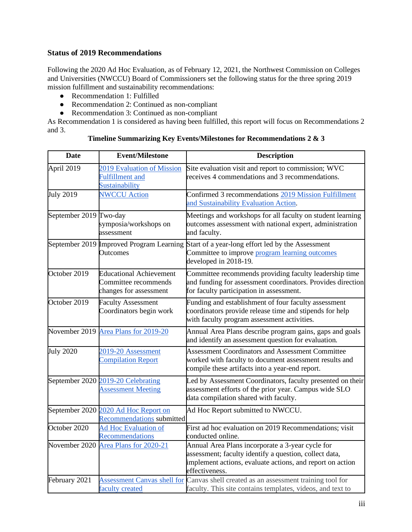## <span id="page-3-0"></span>**Status of 2019 Recommendations**

Following the 2020 Ad Hoc Evaluation, as of February 12, 2021, the Northwest Commission on Colleges and Universities (NWCCU) Board of Commissioners set the following status for the three spring 2019 mission fulfillment and sustainability recommendations:

- Recommendation 1: Fulfilled
- Recommendation 2: Continued as non-compliant
- Recommendation 3: Continued as non-compliant

As Recommendation 1 is considered as having been fulfilled, this report will focus on Recommendations 2 and 3.

| <b>Date</b>                                                                                 | <b>Event/Milestone</b>                                                           | <b>Description</b>                                                                                                                                                                        |  |  |
|---------------------------------------------------------------------------------------------|----------------------------------------------------------------------------------|-------------------------------------------------------------------------------------------------------------------------------------------------------------------------------------------|--|--|
| April 2019<br>2019 Evaluation of Mission<br><b>Fulfillment</b> and<br><b>Sustainability</b> |                                                                                  | Site evaluation visit and report to commission; WVC<br>receives 4 commendations and 3 recommendations.                                                                                    |  |  |
| <b>July 2019</b>                                                                            | <b>NWCCU Action</b>                                                              | Confirmed 3 recommendations 2019 Mission Fulfillment<br>and Sustainability Evaluation Action.                                                                                             |  |  |
| September 2019 Two-day                                                                      | symposia/workshops on<br>assessment                                              | Meetings and workshops for all faculty on student learning<br>outcomes assessment with national expert, administration<br>and faculty.                                                    |  |  |
|                                                                                             | September 2019 Improved Program Learning<br><b>Outcomes</b>                      | Start of a year-long effort led by the Assessment<br>Committee to improve program learning outcomes<br>developed in 2018-19.                                                              |  |  |
| October 2019                                                                                | <b>Educational Achievement</b><br>Committee recommends<br>changes for assessment | Committee recommends providing faculty leadership time<br>and funding for assessment coordinators. Provides direction<br>for faculty participation in assessment.                         |  |  |
| October 2019<br><b>Faculty Assessment</b><br>Coordinators begin work                        |                                                                                  | Funding and establishment of four faculty assessment<br>coordinators provide release time and stipends for help<br>with faculty program assessment activities.                            |  |  |
|                                                                                             | November 2019 Area Plans for 2019-20                                             | Annual Area Plans describe program gains, gaps and goals<br>and identify an assessment question for evaluation.                                                                           |  |  |
| <b>July 2020</b>                                                                            | 2019-20 Assessment<br><b>Compilation Report</b>                                  | <b>Assessment Coordinators and Assessment Committee</b><br>worked with faculty to document assessment results and<br>compile these artifacts into a year-end report.                      |  |  |
|                                                                                             | September 2020 2019-20 Celebrating<br><b>Assessment Meeting</b>                  | Led by Assessment Coordinators, faculty presented on their<br>assessment efforts of the prior year. Campus wide SLO<br>data compilation shared with faculty.                              |  |  |
|                                                                                             | September 2020 2020 Ad Hoc Report on<br>Recommendations submitted                | Ad Hoc Report submitted to NWCCU.                                                                                                                                                         |  |  |
| October 2020                                                                                | <b>Ad Hoc Evaluation of</b><br>Recommendations                                   | First ad hoc evaluation on 2019 Recommendations; visit<br>conducted online.                                                                                                               |  |  |
|                                                                                             | November 2020 Area Plans for 2020-21                                             | Annual Area Plans incorporate a 3-year cycle for<br>assessment; faculty identify a question, collect data,<br>implement actions, evaluate actions, and report on action<br>effectiveness. |  |  |
| February 2021                                                                               | <b>Assessment Canvas shell for</b><br>faculty created                            | Canvas shell created as an assessment training tool for<br>faculty. This site contains templates, videos, and text to                                                                     |  |  |

#### **Timeline Summarizing Key Events/Milestones for Recommendations 2 & 3**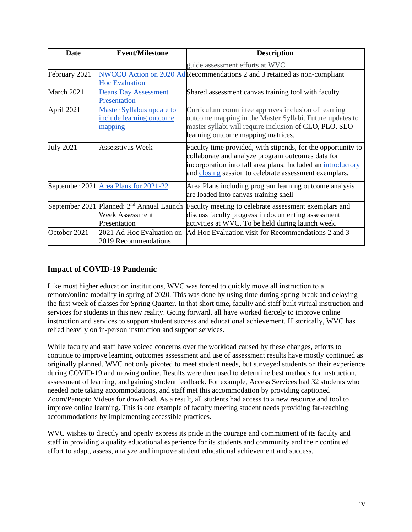| Date                                                                                     | <b>Event/Milestone</b>                                                  | <b>Description</b>                                                                                                                                                                                                                          |  |  |
|------------------------------------------------------------------------------------------|-------------------------------------------------------------------------|---------------------------------------------------------------------------------------------------------------------------------------------------------------------------------------------------------------------------------------------|--|--|
|                                                                                          |                                                                         | guide assessment efforts at WVC.                                                                                                                                                                                                            |  |  |
| February 2021<br><b>Hoc Evaluation</b>                                                   |                                                                         | NWCCU Action on 2020 Ad Recommendations 2 and 3 retained as non-compliant                                                                                                                                                                   |  |  |
| March 2021                                                                               | <b>Deans Day Assessment</b><br>Presentation                             | Shared assessment canvas training tool with faculty                                                                                                                                                                                         |  |  |
| April 2021                                                                               | <b>Master Syllabus update to</b><br>include learning outcome<br>mapping | Curriculum committee approves inclusion of learning<br>outcome mapping in the Master Syllabi. Future updates to<br>master syllabi will require inclusion of CLO, PLO, SLO<br>learning outcome mapping matrices.                             |  |  |
| <b>July 2021</b><br><b>Assesstivus Week</b>                                              |                                                                         | Faculty time provided, with stipends, for the opportunity to<br>collaborate and analyze program outcomes data for<br>incorporation into fall area plans. Included an introductory<br>and closing session to celebrate assessment exemplars. |  |  |
|                                                                                          | September 2021 Area Plans for 2021-22                                   | Area Plans including program learning outcome analysis<br>are loaded into canvas training shell                                                                                                                                             |  |  |
| September 2021 Planned: 2 <sup>nd</sup> Annual Launch<br>Week Assessment<br>Presentation |                                                                         | Faculty meeting to celebrate assessment exemplars and<br>discuss faculty progress in documenting assessment<br>activities at WVC. To be held during launch week.                                                                            |  |  |
| October 2021                                                                             | 2021 Ad Hoc Evaluation on<br>2019 Recommendations                       | Ad Hoc Evaluation visit for Recommendations 2 and 3                                                                                                                                                                                         |  |  |

# <span id="page-4-0"></span>**Impact of COVID-19 Pandemic**

Like most higher education institutions, WVC was forced to quickly move all instruction to a remote/online modality in spring of 2020. This was done by using time during spring break and delaying the first week of classes for Spring Quarter. In that short time, faculty and staff built virtual instruction and services for students in this new reality. Going forward, all have worked fiercely to improve online instruction and services to support student success and educational achievement. Historically, WVC has relied heavily on in-person instruction and support services.

While faculty and staff have voiced concerns over the workload caused by these changes, efforts to continue to improve learning outcomes assessment and use of assessment results have mostly continued as originally planned. WVC not only pivoted to meet student needs, but surveyed students on their experience during COVID-19 and moving online. Results were then used to determine best methods for instruction, assessment of learning, and gaining student feedback. For example, Access Services had 32 students who needed note taking accommodations, and staff met this accommodation by providing captioned Zoom/Panopto Videos for download. As a result, all students had access to a new resource and tool to improve online learning. This is one example of faculty meeting student needs providing far-reaching accommodations by implementing accessible practices.

WVC wishes to directly and openly express its pride in the courage and commitment of its faculty and staff in providing a quality educational experience for its students and community and their continued effort to adapt, assess, analyze and improve student educational achievement and success.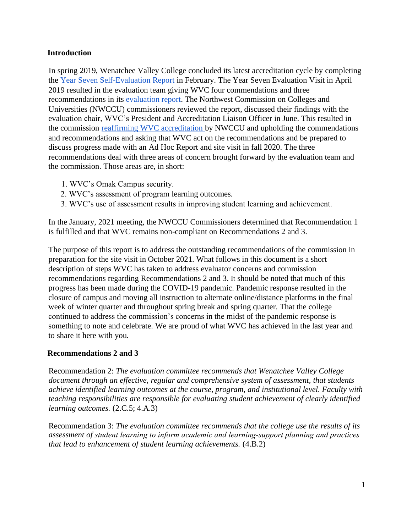## <span id="page-5-0"></span>**Introduction**

In spring 2019, Wenatchee Valley College concluded its latest accreditation cycle by completing the [Year Seven Self-Evaluation Report i](https://nwccu.box.com/s/b7mj3xvz00r0tgrvkyt8vdolgg2vwzrc)n February. The Year Seven Evaluation Visit in April 2019 resulted in the evaluation team giving WVC four commendations and three recommendations in its [evaluation report](https://nwccu.box.com/s/huysvfaw70va6ahsj00eyclg8ypd62gn). The Northwest Commission on Colleges and Universities (NWCCU) commissioners reviewed the report, discussed their findings with the evaluation chair, WVC's President and Accreditation Liaison Officer in June. This resulted in the commission [reaffirming](https://nwccu.box.com/s/61n8dzxmsy22pemtynkfcq4xinpp4xwz) [WVC accreditation](https://nwccu.box.com/s/61n8dzxmsy22pemtynkfcq4xinpp4xwz) by NWCCU and upholding the commendations and recommendations and asking that WVC act on the recommendations and be prepared to discuss progress made with an Ad Hoc Report and site visit in fall 2020. The three recommendations deal with three areas of concern brought forward by the evaluation team and the commission. Those areas are, in short:

- 1. WVC's Omak Campus security.
- 2. WVC's assessment of program learning outcomes.
- 3. WVC's use of assessment results in improving student learning and achievement.

In the January, 2021 meeting, the NWCCU Commissioners determined that Recommendation 1 is fulfilled and that WVC remains non-compliant on Recommendations 2 and 3.

The purpose of this report is to address the outstanding recommendations of the commission in preparation for the site visit in October 2021. What follows in this document is a short description of steps WVC has taken to address evaluator concerns and commission recommendations regarding Recommendations 2 and 3. It should be noted that much of this progress has been made during the COVID-19 pandemic. Pandemic response resulted in the closure of campus and moving all instruction to alternate online/distance platforms in the final week of winter quarter and throughout spring break and spring quarter. That the college continued to address the commission's concerns in the midst of the pandemic response is something to note and celebrate. We are proud of what WVC has achieved in the last year and to share it here with you.

# <span id="page-5-1"></span>**Recommendations 2 and 3**

Recommendation 2: *The evaluation committee recommends that Wenatchee Valley College document through an effective, regular and comprehensive system of assessment, that students achieve identified learning outcomes at the course, program, and institutional level. Faculty with teaching responsibilities are responsible for evaluating student achievement of clearly identified learning outcomes.* (2.C.5; 4.A.3)

Recommendation 3: *The evaluation committee recommends that the college use the results of its assessment of student learning to inform academic and learning‐support planning and practices that lead to enhancement of student learning achievements.* (4.B.2)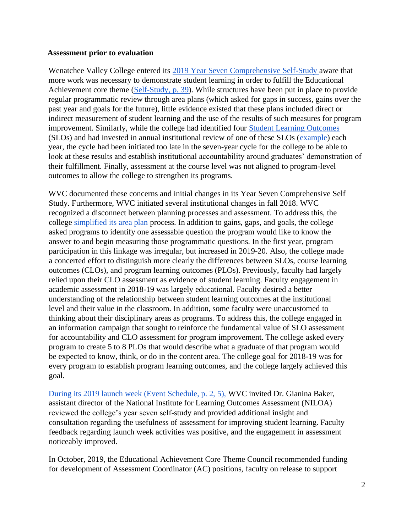#### <span id="page-6-0"></span>**Assessment prior to evaluation**

Wenatchee Valley College entered its [2019 Year Seven Comprehensive Self-Study](https://nwccu.box.com/s/b7mj3xvz00r0tgrvkyt8vdolgg2vwzrc) aware that more work was necessary to demonstrate student learning in order to fulfill the Educational Achievement core theme [\(Self-Study, p. 39](https://nwccu.box.com/s/b7mj3xvz00r0tgrvkyt8vdolgg2vwzrc)). While structures have been put in place to provide regular programmatic review through area plans (which asked for gaps in success, gains over the past year and goals for the future), little evidence existed that these plans included direct or indirect measurement of student learning and the use of the results of such measures for program improvement. Similarly, while the college had identified four [Student Learning Outcomes](https://nwccu.box.com/s/hnemfakomu56gplgfxxqz3baojpgiu2a) (SLOs) and had invested in annual institutional review of one of these SLOs [\(example\)](https://tableau.sbctc.edu/t/wvc_data/views/SLOAssessmentDashboards/SLOAssessment?:embed=y&:isGuestRedirectFromVizportal=y&:display_count=n&:showAppBanner=false&:origin=viz_share_link&:showVizHome=n) each year, the cycle had been initiated too late in the seven-year cycle for the college to be able to look at these results and establish institutional accountability around graduates' demonstration of their fulfillment. Finally, assessment at the course level was not aligned to program-level outcomes to allow the college to strengthen its programs.

WVC documented these concerns and initial changes in its Year Seven Comprehensive Self Study. Furthermore, WVC initiated several institutional changes in fall 2018. WVC recognized a disconnect between planning processes and assessment. To address this, the college [simplified its area plan](https://nwccu.box.com/s/ji2pg54ejpxfde7rxpelp5oqzz2syels) process. In addition to gains, gaps, and goals, the college asked programs to identify one assessable question the program would like to know the answer to and begin measuring those programmatic questions. In the first year, program participation in this linkage was irregular, but increased in 2019-20. Also, the college made a concerted effort to distinguish more clearly the differences between SLOs, course learning outcomes (CLOs), and program learning outcomes (PLOs). Previously, faculty had largely relied upon their CLO assessment as evidence of student learning. Faculty engagement in academic assessment in 2018-19 was largely educational. Faculty desired a better understanding of the relationship between student learning outcomes at the institutional level and their value in the classroom. In addition, some faculty were unaccustomed to thinking about their disciplinary areas as programs. To address this, the college engaged in an information campaign that sought to reinforce the fundamental value of SLO assessment for accountability and CLO assessment for program improvement. The college asked every program to create 5 to 8 PLOs that would describe what a graduate of that program would be expected to know, think, or do in the content area. The college goal for 2018-19 was for every program to establish program learning outcomes, and the college largely achieved this goal.

[During its](https://nwccu.box.com/s/vq1rba30q54rockl3d9ajskhrlnh005q) [2019 launch week \(Event](https://nwccu.box.com/s/vq1rba30q54rockl3d9ajskhrlnh005q) [Schedule, p. 2, 5\),](https://nwccu.box.com/s/vq1rba30q54rockl3d9ajskhrlnh005q) WVC invited Dr. Gianina Baker, assistant director of the National Institute for Learning Outcomes Assessment (NILOA) reviewed the college's year seven self-study and provided additional insight and consultation regarding the usefulness of assessment for improving student learning. Faculty feedback regarding launch week activities was positive, and the engagement in assessment noticeably improved.

In October, 2019, the Educational Achievement Core Theme Council recommended funding for development of Assessment Coordinator (AC) positions, faculty on release to support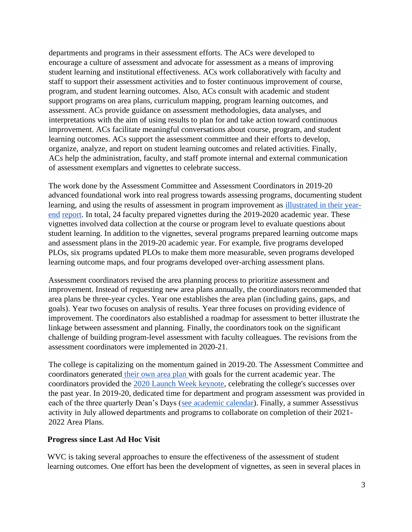departments and programs in their assessment efforts. The ACs were developed to encourage a culture of assessment and advocate for assessment as a means of improving student learning and institutional effectiveness. ACs work collaboratively with faculty and staff to support their assessment activities and to foster continuous improvement of course, program, and student learning outcomes. Also, ACs consult with academic and student support programs on area plans, curriculum mapping, program learning outcomes, and assessment. ACs provide guidance on assessment methodologies, data analyses, and interpretations with the aim of using results to plan for and take action toward continuous improvement. ACs facilitate meaningful conversations about course, program, and student learning outcomes. ACs support the assessment committee and their efforts to develop, organize, analyze, and report on student learning outcomes and related activities. Finally, ACs help the administration, faculty, and staff promote internal and external communication of assessment exemplars and vignettes to celebrate success.

The work done by the Assessment Committee and Assessment Coordinators in 2019-20 advanced foundational work into real progress towards assessing programs, documenting student learning, and using the results of assessment in program improvement as illustrated in their yearend report. In total, 24 faculty prepared vignettes during the 2019-2020 academic year. These vignettes involved data collection at the course or program level to evaluate questions about student learning. In addition to the vignettes, several programs prepared learning outcome maps and assessment plans in the 2019-20 academic year. For example, five programs developed PLOs, six programs updated PLOs to make them more measurable, seven programs developed learning outcome maps, and four programs developed over-arching assessment plans.

Assessment coordinators revised the area planning process to prioritize assessment and improvement. Instead of requesting new area plans annually, the coordinators recommended that area plans be three-year cycles. Year one establishes the area plan (including gains, gaps, and goals). Year two focuses on analysis of results. Year three focuses on providing evidence of improvement. The coordinators also established a roadmap for assessment to better illustrate the linkage between assessment and planning. Finally, the coordinators took on the significant challenge of building program-level assessment with faculty colleagues. The revisions from the assessment coordinators were implemented in 2020-21.

The college is capitalizing on the momentum gained in 2019-20. The Assessment Committee and coordinators generated [their own area plan](https://nwccu.box.com/s/ji2pg54ejpxfde7rxpelp5oqzz2syels) with goals for the current academic year. The coordinators provided the [2020 Launch Week keynote,](https://wvc.hosted.panopto.com/Panopto/Pages/Viewer.aspx?id=0bd60e8c-f877-4d9f-996b-ac380148a1ad) celebrating the college's successes over the past year. In 2019-20, dedicated time for department and program assessment was provided in each of the three quarterly Dean's Days [\(see academic calendar\)](https://www.wvc.edu/students/resources/academic-calendar.html#archives). Finally, a summer Assesstivus activity in July allowed departments and programs to collaborate on completion of their 2021- 2022 Area Plans.

# <span id="page-7-0"></span>**Progress since Last Ad Hoc Visit**

WVC is taking several approaches to ensure the effectiveness of the assessment of student learning outcomes. One effort has been the development of vignettes, as seen in several places in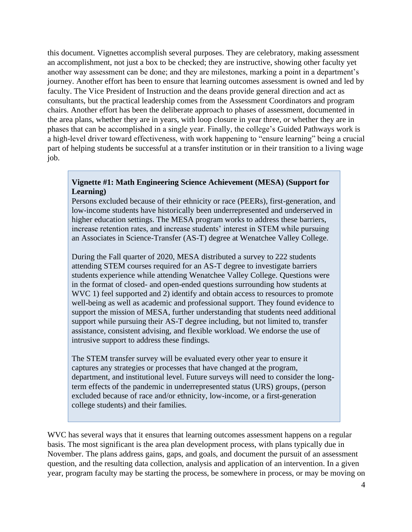this document. Vignettes accomplish several purposes. They are celebratory, making assessment an accomplishment, not just a box to be checked; they are instructive, showing other faculty yet another way assessment can be done; and they are milestones, marking a point in a department's journey. Another effort has been to ensure that learning outcomes assessment is owned and led by faculty. The Vice President of Instruction and the deans provide general direction and act as consultants, but the practical leadership comes from the Assessment Coordinators and program chairs. Another effort has been the deliberate approach to phases of assessment, documented in the area plans, whether they are in years, with loop closure in year three, or whether they are in phases that can be accomplished in a single year. Finally, the college's Guided Pathways work is a high-level driver toward effectiveness, with work happening to "ensure learning" being a crucial part of helping students be successful at a transfer institution or in their transition to a living wage job.

## **Vignette #1: Math Engineering Science Achievement (MESA) (Support for Learning)**

Persons excluded because of their ethnicity or race (PEERs), first-generation, and low-income students have historically been underrepresented and underserved in higher education settings. The MESA program works to address these barriers, increase retention rates, and increase students' interest in STEM while pursuing an Associates in Science-Transfer (AS-T) degree at Wenatchee Valley College.

During the Fall quarter of 2020, MESA distributed a survey to 222 students attending STEM courses required for an AS-T degree to investigate barriers students experience while attending Wenatchee Valley College. Questions were in the format of closed- and open-ended questions surrounding how students at WVC 1) feel supported and 2) identify and obtain access to resources to promote well-being as well as academic and professional support. They found evidence to support the mission of MESA, further understanding that students need additional support while pursuing their AS-T degree including, but not limited to, transfer assistance, consistent advising, and flexible workload. We endorse the use of intrusive support to address these findings.

The STEM transfer survey will be evaluated every other year to ensure it captures any strategies or processes that have changed at the program, department, and institutional level. Future surveys will need to consider the longterm effects of the pandemic in underrepresented status (URS) groups, (person excluded because of race and/or ethnicity, low-income, or a first-generation college students) and their families.

WVC has several ways that it ensures that learning outcomes assessment happens on a regular basis. The most significant is the area plan development process, with plans typically due in November. The plans address gains, gaps, and goals, and document the pursuit of an assessment question, and the resulting data collection, analysis and application of an intervention. In a given year, program faculty may be starting the process, be somewhere in process, or may be moving on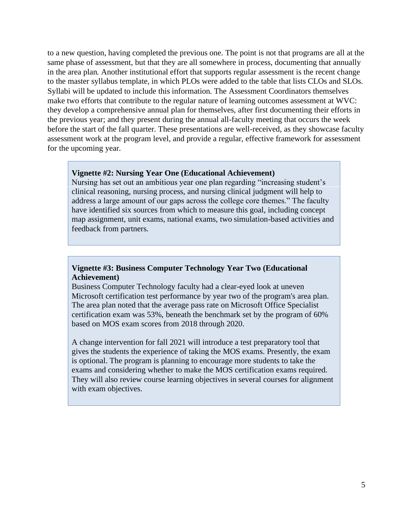to a new question, having completed the previous one. The point is not that programs are all at the same phase of assessment, but that they are all somewhere in process, documenting that annually in the area plan. Another institutional effort that supports regular assessment is the recent change to the master syllabus template, in which PLOs were added to the table that lists CLOs and SLOs. Syllabi will be updated to include this information. The Assessment Coordinators themselves make two efforts that contribute to the regular nature of learning outcomes assessment at WVC: they develop a comprehensive annual plan for themselves, after first documenting their efforts in the previous year; and they present during the annual all-faculty meeting that occurs the week before the start of the fall quarter. These presentations are well-received, as they showcase faculty assessment work at the program level, and provide a regular, effective framework for assessment for the upcoming year.

#### **Vignette #2: Nursing Year One (Educational Achievement)**

Nursing has set out an ambitious year one plan regarding "increasing student's clinical reasoning, nursing process, and nursing clinical judgment will help to address a large amount of our gaps across the college core themes." The faculty have identified six sources from which to measure this goal, including concept map assignment, unit exams, national exams, two simulation-based activities and feedback from partners.

# **Vignette #3: Business Computer Technology Year Two (Educational Achievement)**

Business Computer Technology faculty had a clear-eyed look at uneven Microsoft certification test performance by year two of the program's area plan. The area plan noted that the average pass rate on Microsoft Office Specialist certification exam was 53%, beneath the benchmark set by the program of 60% based on MOS exam scores from 2018 through 2020.

A change intervention for fall 2021 will introduce a test preparatory tool that gives the students the experience of taking the MOS exams. Presently, the exam is optional. The program is planning to encourage more students to take the exams and considering whether to make the MOS certification exams required. They will also review course learning objectives in several courses for alignment with exam objectives.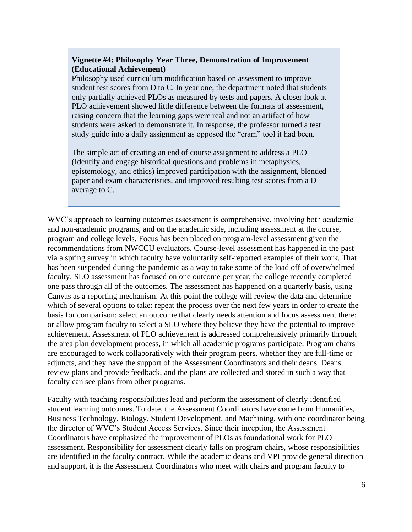## **Vignette #4: Philosophy Year Three, Demonstration of Improvement (Educational Achievement)**

Philosophy used curriculum modification based on assessment to improve student test scores from D to C. In year one, the department noted that students only partially achieved PLOs as measured by tests and papers. A closer look at PLO achievement showed little difference between the formats of assessment, raising concern that the learning gaps were real and not an artifact of how students were asked to demonstrate it. In response, the professor turned a test study guide into a daily assignment as opposed the "cram" tool it had been.

The simple act of creating an end of course assignment to address a PLO (Identify and engage historical questions and problems in metaphysics, epistemology, and ethics) improved participation with the assignment, blended paper and exam characteristics, and improved resulting test scores from a D average to C.

WVC's approach to learning outcomes assessment is comprehensive, involving both academic and non-academic programs, and on the academic side, including assessment at the course, program and college levels. Focus has been placed on program-level assessment given the recommendations from NWCCU evaluators. Course-level assessment has happened in the past via a spring survey in which faculty have voluntarily self-reported examples of their work. That has been suspended during the pandemic as a way to take some of the load off of overwhelmed faculty. SLO assessment has focused on one outcome per year; the college recently completed one pass through all of the outcomes. The assessment has happened on a quarterly basis, using Canvas as a reporting mechanism. At this point the college will review the data and determine which of several options to take: repeat the process over the next few years in order to create the basis for comparison; select an outcome that clearly needs attention and focus assessment there; or allow program faculty to select a SLO where they believe they have the potential to improve achievement. Assessment of PLO achievement is addressed comprehensively primarily through the area plan development process, in which all academic programs participate. Program chairs are encouraged to work collaboratively with their program peers, whether they are full-time or adjuncts, and they have the support of the Assessment Coordinators and their deans. Deans review plans and provide feedback, and the plans are collected and stored in such a way that faculty can see plans from other programs.

Faculty with teaching responsibilities lead and perform the assessment of clearly identified student learning outcomes. To date, the Assessment Coordinators have come from Humanities, Business Technology, Biology, Student Development, and Machining, with one coordinator being the director of WVC's Student Access Services. Since their inception, the Assessment Coordinators have emphasized the improvement of PLOs as foundational work for PLO assessment. Responsibility for assessment clearly falls on program chairs, whose responsibilities are identified in the faculty contract. While the academic deans and VPI provide general direction and support, it is the Assessment Coordinators who meet with chairs and program faculty to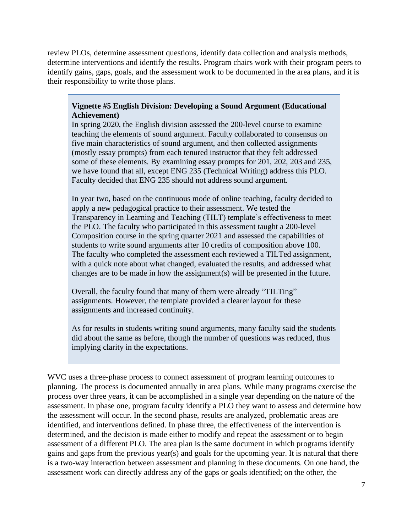review PLOs, determine assessment questions, identify data collection and analysis methods, determine interventions and identify the results. Program chairs work with their program peers to identify gains, gaps, goals, and the assessment work to be documented in the area plans, and it is their responsibility to write those plans.

## **Vignette #5 English Division: Developing a Sound Argument (Educational Achievement)**

In spring 2020, the English division assessed the 200-level course to examine teaching the elements of sound argument. Faculty collaborated to consensus on five main characteristics of sound argument, and then collected assignments (mostly essay prompts) from each tenured instructor that they felt addressed some of these elements. By examining essay prompts for 201, 202, 203 and 235, we have found that all, except ENG 235 (Technical Writing) address this PLO. Faculty decided that ENG 235 should not address sound argument.

In year two, based on the continuous mode of online teaching, faculty decided to apply a new pedagogical practice to their assessment. We tested the Transparency in Learning and Teaching (TILT) template's effectiveness to meet the PLO. The faculty who participated in this assessment taught a 200-level Composition course in the spring quarter 2021 and assessed the capabilities of students to write sound arguments after 10 credits of composition above 100. The faculty who completed the assessment each reviewed a TILTed assignment, with a quick note about what changed, evaluated the results, and addressed what changes are to be made in how the assignment(s) will be presented in the future.

Overall, the faculty found that many of them were already "TILTing" assignments. However, the template provided a clearer layout for these assignments and increased continuity.

As for results in students writing sound arguments, many faculty said the students did about the same as before, though the number of questions was reduced, thus implying clarity in the expectations.

WVC uses a three-phase process to connect assessment of program learning outcomes to planning. The process is documented annually in area plans. While many programs exercise the process over three years, it can be accomplished in a single year depending on the nature of the assessment. In phase one, program faculty identify a PLO they want to assess and determine how the assessment will occur. In the second phase, results are analyzed, problematic areas are identified, and interventions defined. In phase three, the effectiveness of the intervention is determined, and the decision is made either to modify and repeat the assessment or to begin assessment of a different PLO. The area plan is the same document in which programs identify gains and gaps from the previous year(s) and goals for the upcoming year. It is natural that there is a two-way interaction between assessment and planning in these documents. On one hand, the assessment work can directly address any of the gaps or goals identified; on the other, the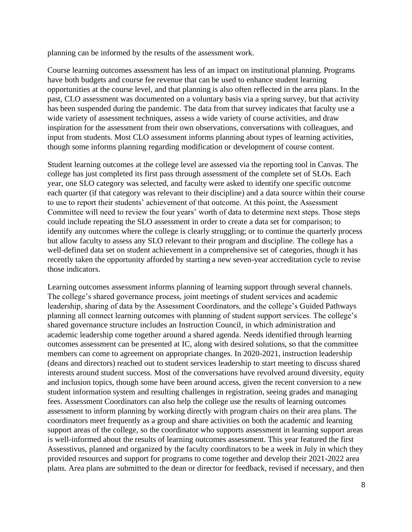planning can be informed by the results of the assessment work.

Course learning outcomes assessment has less of an impact on institutional planning. Programs have both budgets and course fee revenue that can be used to enhance student learning opportunities at the course level, and that planning is also often reflected in the area plans. In the past, CLO assessment was documented on a voluntary basis via a spring survey, but that activity has been suspended during the pandemic. The data from that survey indicates that faculty use a wide variety of assessment techniques, assess a wide variety of course activities, and draw inspiration for the assessment from their own observations, conversations with colleagues, and input from students. Most CLO assessment informs planning about types of learning activities, though some informs planning regarding modification or development of course content.

Student learning outcomes at the college level are assessed via the reporting tool in Canvas. The college has just completed its first pass through assessment of the complete set of SLOs. Each year, one SLO category was selected, and faculty were asked to identify one specific outcome each quarter (if that category was relevant to their discipline) and a data source within their course to use to report their students' achievement of that outcome. At this point, the Assessment Committee will need to review the four years' worth of data to determine next steps. Those steps could include repeating the SLO assessment in order to create a data set for comparison; to identify any outcomes where the college is clearly struggling; or to continue the quarterly process but allow faculty to assess any SLO relevant to their program and discipline. The college has a well-defined data set on student achievement in a comprehensive set of categories, though it has recently taken the opportunity afforded by starting a new seven-year accreditation cycle to revise those indicators.

Learning outcomes assessment informs planning of learning support through several channels. The college's shared governance process, joint meetings of student services and academic leadership, sharing of data by the Assessment Coordinators, and the college's Guided Pathways planning all connect learning outcomes with planning of student support services. The college's shared governance structure includes an Instruction Council, in which administration and academic leadership come together around a shared agenda. Needs identified through learning outcomes assessment can be presented at IC, along with desired solutions, so that the committee members can come to agreement on appropriate changes. In 2020-2021, instruction leadership (deans and directors) reached out to student services leadership to start meeting to discuss shared interests around student success. Most of the conversations have revolved around diversity, equity and inclusion topics, though some have been around access, given the recent conversion to a new student information system and resulting challenges in registration, seeing grades and managing fees. Assessment Coordinators can also help the college use the results of learning outcomes assessment to inform planning by working directly with program chairs on their area plans. The coordinators meet frequently as a group and share activities on both the academic and learning support areas of the college, so the coordinator who supports assessment in learning support areas is well-informed about the results of learning outcomes assessment. This year featured the first Assesstivus, planned and organized by the faculty coordinators to be a week in July in which they provided resources and support for programs to come together and develop their 2021-2022 area plans. Area plans are submitted to the dean or director for feedback, revised if necessary, and then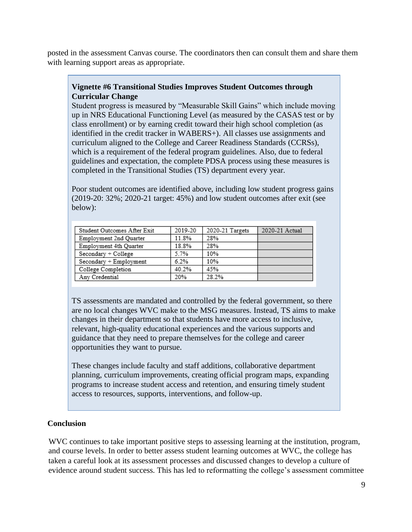posted in the assessment Canvas course. The coordinators then can consult them and share them with learning support areas as appropriate.

# **Vignette #6 Transitional Studies Improves Student Outcomes through Curricular Change**

Student progress is measured by "Measurable Skill Gains" which include moving up in NRS Educational Functioning Level (as measured by the CASAS test or by class enrollment) or by earning credit toward their high school completion (as identified in the credit tracker in WABERS+). All classes use assignments and curriculum aligned to the College and Career Readiness Standards (CCRSs), which is a requirement of the federal program guidelines. Also, due to federal guidelines and expectation, the complete PDSA process using these measures is completed in the Transitional Studies (TS) department every year.

Poor student outcomes are identified above, including low student progress gains (2019-20: 32%; 2020-21 target: 45%) and low student outcomes after exit (see below):

| Student Outcomes After Exit | 2019-20 | 2020-21 Targets | 2020-21 Actual |
|-----------------------------|---------|-----------------|----------------|
| Employment 2nd Quarter      | 11.8%   | 28%             |                |
| Employment 4th Quarter      | 18.8%   | 28%             |                |
| Secondary + College         | 5.7%    | 10%             |                |
| Secondary + Employment      | 6.2%    | 10%             |                |
| College Completion          | 40.2%   | 45%             |                |
| Any Credential              | 20%     | 28.2%           |                |

TS assessments are mandated and controlled by the federal government, so there are no local changes WVC make to the MSG measures. Instead, TS aims to make changes in their department so that students have more access to inclusive, relevant, high-quality educational experiences and the various supports and guidance that they need to prepare themselves for the college and career opportunities they want to pursue.

These changes include faculty and staff additions, collaborative department planning, curriculum improvements, creating official program maps, expanding programs to increase student access and retention, and ensuring timely student access to resources, supports, interventions, and follow-up.

# <span id="page-13-0"></span>**Conclusion**

WVC continues to take important positive steps to assessing learning at the institution, program, and course levels. In order to better assess student learning outcomes at WVC, the college has taken a careful look at its assessment processes and discussed changes to develop a culture of evidence around student success. This has led to reformatting the college's assessment committee